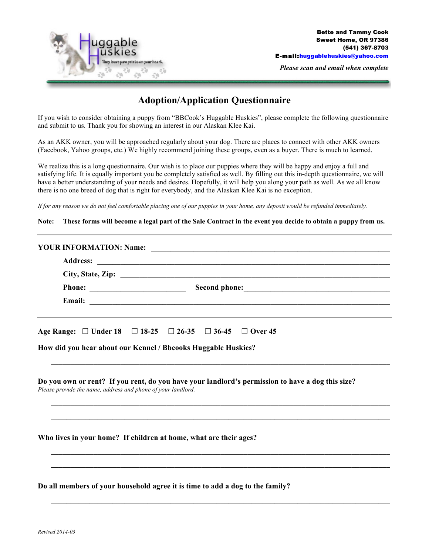

*Please scan and email when complete*

## **Adoption/Application Questionnaire**

If you wish to consider obtaining a puppy from "BBCook's Huggable Huskies", please complete the following questionnaire and submit to us. Thank you for showing an interest in our Alaskan Klee Kai.

As an AKK owner, you will be approached regularly about your dog. There are places to connect with other AKK owners (Facebook, Yahoo groups, etc.) We highly recommend joining these groups, even as a buyer. There is much to learned.

We realize this is a long questionnaire. Our wish is to place our puppies where they will be happy and enjoy a full and satisfying life. It is equally important you be completely satisfied as well. By filling out this in-depth questionnaire, we will have a better understanding of your needs and desires. Hopefully, it will help you along your path as well. As we all know there is no one breed of dog that is right for everybody, and the Alaskan Klee Kai is no exception.

*If for any reason we do not feel comfortable placing one of our puppies in your home, any deposit would be refunded immediately.* 

**Note: These forms will become a legal part of the Sale Contract in the event you decide to obtain a puppy from us.**

| How did you hear about our Kennel / Bbcooks Huggable Huskies?     | Age Range: $\Box$ Under 18 $\Box$ 18-25 $\Box$ 26-35 $\Box$ 36-45 $\Box$ Over 45                 |
|-------------------------------------------------------------------|--------------------------------------------------------------------------------------------------|
| Please provide the name, address and phone of your landlord.      | Do you own or rent? If you rent, do you have your landlord's permission to have a dog this size? |
| Who lives in your home? If children at home, what are their ages? |                                                                                                  |
|                                                                   | Do all members of your household agree it is time to add a dog to the family?                    |

**\_\_\_\_\_\_\_\_\_\_\_\_\_\_\_\_\_\_\_\_\_\_\_\_\_\_\_\_\_\_\_\_\_\_\_\_\_\_\_\_\_\_\_\_\_\_\_\_\_\_\_\_\_\_\_\_\_\_\_\_\_\_\_\_\_\_\_\_\_\_\_\_\_\_\_\_\_\_\_\_\_\_\_\_\_\_\_\_**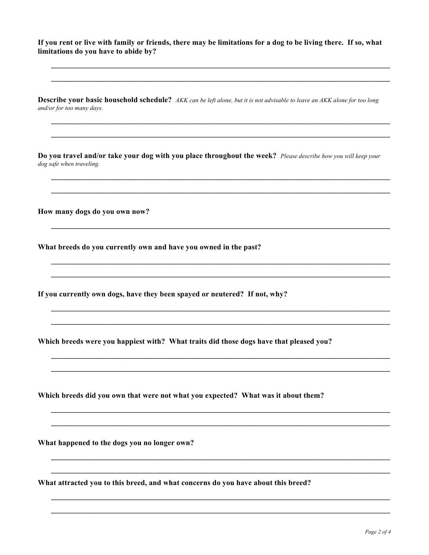If you rent or live with family or friends, there may be limitations for a dog to be living there. If so, what limitations do vou have to abide by?

**Describe your basic household schedule?** AKK can be left alone, but it is not advisable to leave an AKK alone for too long and/or for too many days.

Do you travel and/or take your dog with you place throughout the week? Please describe how you will keep your dog safe when traveling.

How many dogs do you own now?

What breeds do you currently own and have you owned in the past?

If you currently own dogs, have they been spayed or neutered? If not, why?

Which breeds were you happiest with? What traits did those dogs have that pleased you?

Which breeds did you own that were not what you expected? What was it about them?

What happened to the dogs you no longer own?

What attracted you to this breed, and what concerns do you have about this breed?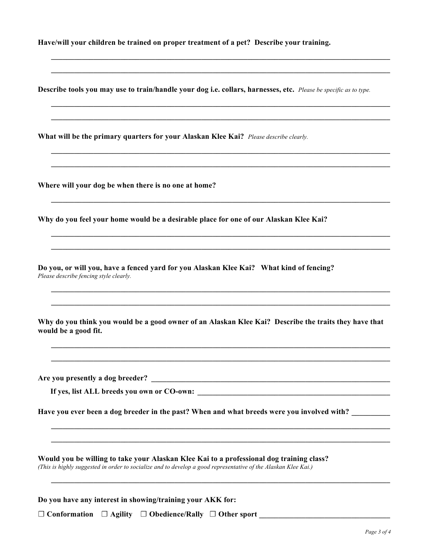**Have/will your children be trained on proper treatment of a pet? Describe your training.**

**Describe tools you may use to train/handle your dog i.e. collars, harnesses, etc.** *Please be specific as to type.*

**\_\_\_\_\_\_\_\_\_\_\_\_\_\_\_\_\_\_\_\_\_\_\_\_\_\_\_\_\_\_\_\_\_\_\_\_\_\_\_\_\_\_\_\_\_\_\_\_\_\_\_\_\_\_\_\_\_\_\_\_\_\_\_\_\_\_\_\_\_\_\_\_\_\_\_\_\_\_\_\_\_\_\_\_\_\_\_\_ \_\_\_\_\_\_\_\_\_\_\_\_\_\_\_\_\_\_\_\_\_\_\_\_\_\_\_\_\_\_\_\_\_\_\_\_\_\_\_\_\_\_\_\_\_\_\_\_\_\_\_\_\_\_\_\_\_\_\_\_\_\_\_\_\_\_\_\_\_\_\_\_\_\_\_\_\_\_\_\_\_\_\_\_\_\_\_\_**

**\_\_\_\_\_\_\_\_\_\_\_\_\_\_\_\_\_\_\_\_\_\_\_\_\_\_\_\_\_\_\_\_\_\_\_\_\_\_\_\_\_\_\_\_\_\_\_\_\_\_\_\_\_\_\_\_\_\_\_\_\_\_\_\_\_\_\_\_\_\_\_\_\_\_\_\_\_\_\_\_\_\_\_\_\_\_\_\_**

**\_\_\_\_\_\_\_\_\_\_\_\_\_\_\_\_\_\_\_\_\_\_\_\_\_\_\_\_\_\_\_\_\_\_\_\_\_\_\_\_\_\_\_\_\_\_\_\_\_\_\_\_\_\_\_\_\_\_\_\_\_\_\_\_\_\_\_\_\_\_\_\_\_\_\_\_\_\_\_\_\_\_\_\_\_\_\_\_ \_\_\_\_\_\_\_\_\_\_\_\_\_\_\_\_\_\_\_\_\_\_\_\_\_\_\_\_\_\_\_\_\_\_\_\_\_\_\_\_\_\_\_\_\_\_\_\_\_\_\_\_\_\_\_\_\_\_\_\_\_\_\_\_\_\_\_\_\_\_\_\_\_\_\_\_\_\_\_\_\_\_\_\_\_\_\_\_**

**\_\_\_\_\_\_\_\_\_\_\_\_\_\_\_\_\_\_\_\_\_\_\_\_\_\_\_\_\_\_\_\_\_\_\_\_\_\_\_\_\_\_\_\_\_\_\_\_\_\_\_\_\_\_\_\_\_\_\_\_\_\_\_\_\_\_\_\_\_\_\_\_\_\_\_\_\_\_\_\_\_\_\_\_\_\_\_\_**

**\_\_\_\_\_\_\_\_\_\_\_\_\_\_\_\_\_\_\_\_\_\_\_\_\_\_\_\_\_\_\_\_\_\_\_\_\_\_\_\_\_\_\_\_\_\_\_\_\_\_\_\_\_\_\_\_\_\_\_\_\_\_\_\_\_\_\_\_\_\_\_\_\_\_\_\_\_\_\_\_\_\_\_\_\_\_\_\_ \_\_\_\_\_\_\_\_\_\_\_\_\_\_\_\_\_\_\_\_\_\_\_\_\_\_\_\_\_\_\_\_\_\_\_\_\_\_\_\_\_\_\_\_\_\_\_\_\_\_\_\_\_\_\_\_\_\_\_\_\_\_\_\_\_\_\_\_\_\_\_\_\_\_\_\_\_\_\_\_\_\_\_\_\_\_\_\_**

**\_\_\_\_\_\_\_\_\_\_\_\_\_\_\_\_\_\_\_\_\_\_\_\_\_\_\_\_\_\_\_\_\_\_\_\_\_\_\_\_\_\_\_\_\_\_\_\_\_\_\_\_\_\_\_\_\_\_\_\_\_\_\_\_\_\_\_\_\_\_\_\_\_\_\_\_\_\_\_\_\_\_\_\_\_\_\_\_**

**\_\_\_\_\_\_\_\_\_\_\_\_\_\_\_\_\_\_\_\_\_\_\_\_\_\_\_\_\_\_\_\_\_\_\_\_\_\_\_\_\_\_\_\_\_\_\_\_\_\_\_\_\_\_\_\_\_\_\_\_\_\_\_\_\_\_\_\_\_\_\_\_\_\_\_\_\_\_\_\_\_\_\_\_\_\_\_\_**

**\_\_\_\_\_\_\_\_\_\_\_\_\_\_\_\_\_\_\_\_\_\_\_\_\_\_\_\_\_\_\_\_\_\_\_\_\_\_\_\_\_\_\_\_\_\_\_\_\_\_\_\_\_\_\_\_\_\_\_\_\_\_\_\_\_\_\_\_\_\_\_\_\_\_\_\_\_\_\_\_\_\_\_\_\_\_\_\_ \_\_\_\_\_\_\_\_\_\_\_\_\_\_\_\_\_\_\_\_\_\_\_\_\_\_\_\_\_\_\_\_\_\_\_\_\_\_\_\_\_\_\_\_\_\_\_\_\_\_\_\_\_\_\_\_\_\_\_\_\_\_\_\_\_\_\_\_\_\_\_\_\_\_\_\_\_\_\_\_\_\_\_\_\_\_\_\_**

**What will be the primary quarters for your Alaskan Klee Kai?** *Please describe clearly.*

**Where will your dog be when there is no one at home?**

**Why do you feel your home would be a desirable place for one of our Alaskan Klee Kai?**

**Do you, or will you, have a fenced yard for you Alaskan Klee Kai? What kind of fencing?**  *Please describe fencing style clearly.*

**Why do you think you would be a good owner of an Alaskan Klee Kai? Describe the traits they have that would be a good fit.**

Are you presently a dog breeder?

If yes, list ALL breeds you own or CO-own:

**Have you ever been a dog breeder in the past? When and what breeds were you involved with? \_\_\_\_\_\_\_\_\_\_**

**Would you be willing to take your Alaskan Klee Kai to a professional dog training class?** *(This is highly suggested in order to socialize and to develop a good representative of the Alaskan Klee Kai.)*

**\_\_\_\_\_\_\_\_\_\_\_\_\_\_\_\_\_\_\_\_\_\_\_\_\_\_\_\_\_\_\_\_\_\_\_\_\_\_\_\_\_\_\_\_\_\_\_\_\_\_\_\_\_\_\_\_\_\_\_\_\_\_\_\_\_\_\_\_\_\_\_\_\_\_\_\_\_\_\_\_\_\_\_\_\_\_\_\_**

**Do you have any interest in showing/training your AKK for:**

☐ **Conformation** ☐ **Agility** ☐ **Obedience/Rally** ☐ **Other sport \_\_\_\_\_\_\_\_\_\_\_\_\_\_\_\_\_\_\_\_\_\_\_\_\_\_\_\_\_\_\_\_\_\_**